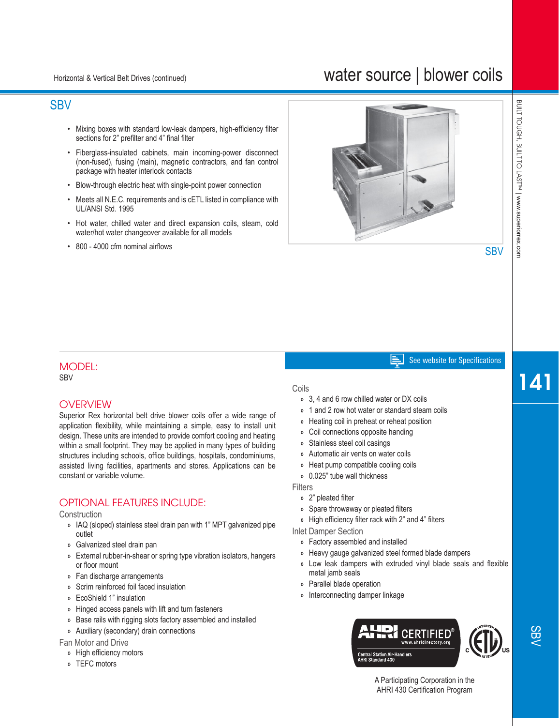# water source | blower coils

# **SBV**

- Mixing boxes with standard low-leak dampers, high-efficiency filter sections for 2" prefilter and 4" final filter
- Fiberglass-insulated cabinets, main incoming-power disconnect (non-fused), fusing (main), magnetic contractors, and fan control package with heater interlock contacts
- Blow-through electric heat with single-point power connection
- Meets all N.E.C. requirements and is cETL listed in compliance with UL/ANSI Std. 1995
- Hot water, chilled water and direct expansion coils, steam, cold water/hot water changeover available for all models
- 800 4000 cfm nominal airflows



**SBV** 

#### See website for Specifications E I

#### MODEL: SBV

### **OVERVIEW**

Superior Rex horizontal belt drive blower coils offer a wide range of application flexibility, while maintaining a simple, easy to install unit design. These units are intended to provide comfort cooling and heating within a small footprint. They may be applied in many types of building structures including schools, office buildings, hospitals, condominiums, assisted living facilities, apartments and stores. Applications can be constant or variable volume.

## OPTIONAL FEATURES INCLUDE:

#### **Construction**

- » IAQ (sloped) stainless steel drain pan with 1" MPT galvanized pipe outlet
- » Galvanized steel drain pan
- » External rubber-in-shear or spring type vibration isolators, hangers or floor mount
- » Fan discharge arrangements
- » Scrim reinforced foil faced insulation
- » EcoShield 1" insulation
- » Hinged access panels with lift and turn fasteners
- » Base rails with rigging slots factory assembled and installed
- » Auxiliary (secondary) drain connections

Fan Motor and Drive

- » High efficiency motors
- » TEFC motors

#### Coils

- » 3, 4 and 6 row chilled water or DX coils
- » 1 and 2 row hot water or standard steam coils
- » Heating coil in preheat or reheat position
- » Coil connections opposite handing
- » Stainless steel coil casings
- » Automatic air vents on water coils
- » Heat pump compatible cooling coils
- » 0.025" tube wall thickness

**Filters** 

- » 2" pleated filter
- » Spare throwaway or pleated filters
- » High efficiency filter rack with 2" and 4" filters

Inlet Damper Section

- » Factory assembled and installed
- » Heavy gauge galvanized steel formed blade dampers
- » Low leak dampers with extruded vinyl blade seals and flexible metal jamb seals
- » Parallel blade operation
- » Interconnecting damper linkage



141

A Participating Corporation in the AHRI 430 Certification Program